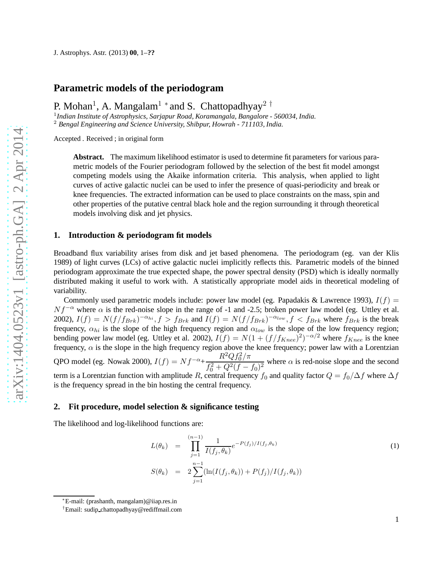# **Parametric models of the periodogram**

P. Mohan<sup>1</sup>, A. Mangalam<sup>1</sup> \* and S. Chattopadhyay<sup>2</sup> <sup>†</sup>

1 *Indian Institute of Astrophysics, Sarjapur Road, Koramangala, Bangalore - 560034, India.* <sup>2</sup> *Bengal Engineering and Science University, Shibpur, Howrah - 711103, India.*

Accepted . Received ; in original form

**Abstract.** The maximum likelihood estimator is used to determine fit parameters for various parametric models of the Fourier periodogram followed by the selection of the best fit model amongst competing models using the Akaike information criteria. This analysis, when applied to light curves of active galactic nuclei can be used to infer the presence of quasi-periodicity and break or knee frequencies. The extracted information can be used to place constraints on the mass, spin and other properties of the putative central black hole and the region surrounding it through theoretical models involving disk and jet physics.

### **1. Introduction & periodogram fit models**

Broadband flux variability arises from disk and jet based phenomena. The periodogram (eg. van der Klis 1989) of light curves (LCs) of active galactic nuclei implicitly reflects this. Parametric models of the binned periodogram approximate the true expected shape, the power spectral density (PSD) which is ideally normally distributed making it useful to work with. A statistically appropriate model aids in theoretical modeling of variability.

Commonly used parametric models include: power law model (eg. Papadakis & Lawrence 1993),  $I(f)$  =  $Nf^{-\alpha}$  where  $\alpha$  is the red-noise slope in the range of -1 and -2.5; broken power law model (eg. Uttley et al. 2002),  $I(f) = N(f/f_{Brk})^{-\alpha_{hi}}$ ,  $f > f_{Brk}$  and  $I(f) = N(f/f_{Brk})^{-\alpha_{low}}$ ,  $f < f_{Brk}$  where  $f_{Brk}$  is the break frequency,  $\alpha_{hi}$  is the slope of the high frequency region and  $\alpha_{low}$  is the slope of the low frequency region; bending power law model (eg. Uttley et al. 2002),  $I(f) = N(1 + (f/f_{Knee})^2)^{-\alpha/2}$  where  $f_{Knee}$  is the knee frequency,  $\alpha$  is the slope in the high frequency region above the knee frequency; power law with a Lorentzian QPO model (eg. Nowak 2000),  $I(f) = Nf^{-\alpha} + \frac{R^2Qf_0^2/\pi}{f^2 + R^2Qf_0^2/\pi}$  $\frac{1}{2} \left( \frac{a}{2} + \frac{Q^2}{f} - f_0^2 \right)^2$  where  $\alpha$  is red-noise slope and the second term is a Lorentzian function with amplitude R, central frequency  $f_0$  and quality factor  $Q = f_0/\Delta f$  where  $\Delta f$ is the frequency spread in the bin hosting the central frequency.

### **2. Fit procedure, model selection & significance testing**

The likelihood and log-likelihood functions are:

$$
L(\theta_k) = \prod_{j=1}^{(n-1)} \frac{1}{I(f_j, \theta_k)} e^{-P(f_j)/I(f_j, \theta_k)}
$$
  
\n
$$
S(\theta_k) = 2 \sum_{j=1}^{n-1} (\ln(I(f_j, \theta_k)) + P(f_j)/I(f_j, \theta_k))
$$
\n(1)

<sup>∗</sup>E-mail: (prashanth, mangalam)@iiap.res.in

<sup>†</sup>Email: sudip chattopadhyay@rediffmail.com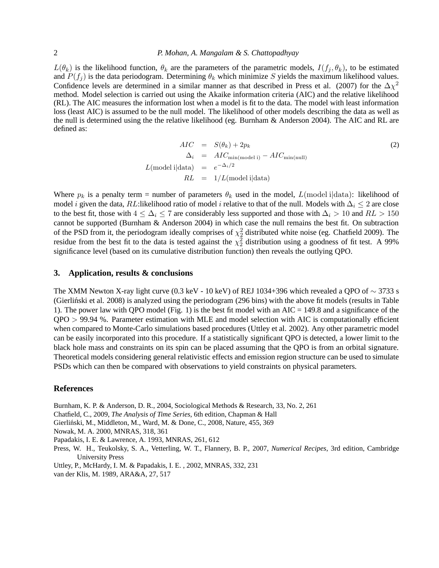$L(\theta_k)$  is the likelihood function,  $\theta_k$  are the parameters of the parametric models,  $I(f_j, \theta_k)$ , to be estimated and  $P(f_i)$  is the data periodogram. Determining  $\theta_k$  which minimize S yields the maximum likelihood values. Confidence levels are determined in a similar manner as that described in Press et al. (2007) for the  $\Delta \chi^2$ method. Model selection is carried out using the Akaike information criteria (AIC) and the relative likelihood (RL). The AIC measures the information lost when a model is fit to the data. The model with least information loss (least AIC) is assumed to be the null model. The likelihood of other models describing the data as well as the null is determined using the the relative likelihood (eg. Burnham & Anderson 2004). The AIC and RL are defined as:

$$
AIC = S(\theta_k) + 2p_k
$$
  
\n
$$
\Delta_i = AIC_{\text{min}(\text{model i})} - AIC_{\text{min}(\text{null})}
$$
  
\n
$$
L(\text{model i}|\text{data}) = e^{-\Delta_i/2}
$$
  
\n
$$
RL = 1/L(\text{model i}|\text{data})
$$
\n(2)

Where  $p_k$  is a penalty term = number of parameters  $\theta_k$  used in the model,  $L$ (model i|data): likelihood of model *i* given the data, RL:likelihood ratio of model *i* relative to that of the null. Models with  $\Delta_i \leq 2$  are close to the best fit, those with  $4 \leq \Delta_i \leq 7$  are considerably less supported and those with  $\Delta_i > 10$  and  $RL > 150$ cannot be supported (Burnham & Anderson 2004) in which case the null remains the best fit. On subtraction of the PSD from it, the periodogram ideally comprises of  $\chi^2$  distributed white noise (eg. Chatfield 2009). The residue from the best fit to the data is tested against the  $\chi^2$  distribution using a goodness of fit test. A 99% significance level (based on its cumulative distribution function) then reveals the outlying QPO.

## **3. Application, results & conclusions**

The XMM Newton X-ray light curve (0.3 keV - 10 keV) of REJ 1034+396 which revealed a QPO of  $\sim$  3733 s (Gierlinski et al. 2008) is analyzed using the periodogram (296 bins) with the above fit models (results in Table 1). The power law with QPO model (Fig. 1) is the best fit model with an  $AIC = 149.8$  and a significance of the QPO > 99.94 %. Parameter estimation with MLE and model selection with AIC is computationally efficient when compared to Monte-Carlo simulations based procedures (Uttley et al. 2002). Any other parametric model can be easily incorporated into this procedure. If a statistically significant QPO is detected, a lower limit to the black hole mass and constraints on its spin can be placed assuming that the QPO is from an orbital signature. Theoretical models considering general relativistic effects and emission region structure can be used to simulate PSDs which can then be compared with observations to yield constraints on physical parameters.

## **References**

Burnham, K. P. & Anderson, D. R., 2004, Sociological Methods & Research, 33, No. 2, 261

Chatfield, C., 2009, *The Analysis of Time Series*, 6th edition, Chapman & Hall

Gierliński, M., Middleton, M., Ward, M. & Done, C., 2008, Nature, 455, 369

Nowak, M. A. 2000, MNRAS, 318, 361

Papadakis, I. E. & Lawrence, A. 1993, MNRAS, 261, 612

Press, W. H., Teukolsky, S. A., Vetterling, W. T., Flannery, B. P., 2007, *Numerical Recipes*, 3rd edition, Cambridge University Press

Uttley, P., McHardy, I. M. & Papadakis, I. E. , 2002, MNRAS, 332, 231

van der Klis, M. 1989, ARA&A, 27, 517